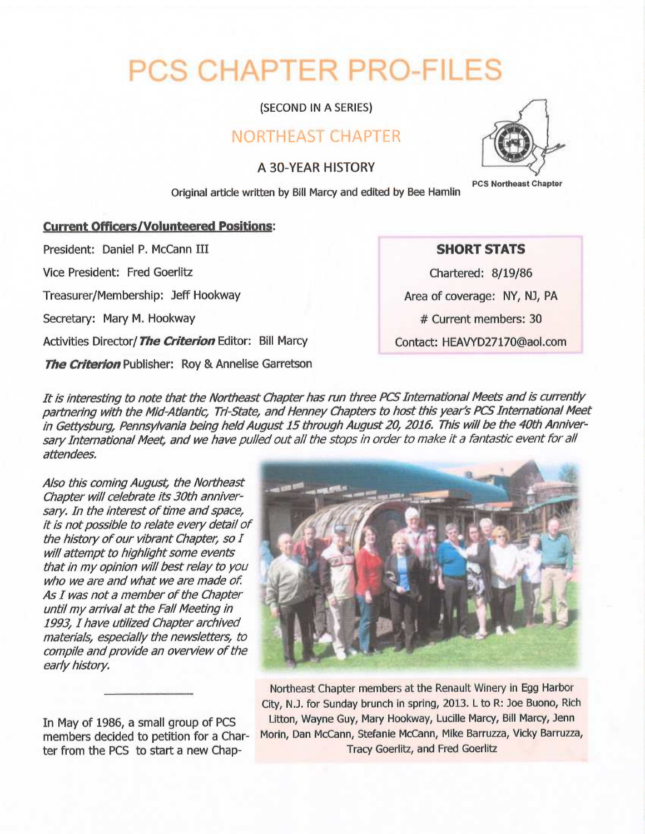# PCS CHAPTER PRO-FILES

(SECOND IN A SERIES)

## NORTHEAST CHAPTER

### A 30-YEAR HISTORY



Original article written by Bill Marcy and edited by Bee Hamlin

#### **Current Officers/Volunteered Positions:**

President: Daniel P. McCann III

Vice President: Fred Goerlitz

Treasurer/Membership: JefF Hookway

Secretary: Mary M. Hookway

Activities Director/ The Criterion Editor: Bill Marcy

The Criterion Publisher: Roy & Annelise Garretson

#### SHORT STATS

Chartered: 8/19/86 Area of coverage: NY, NJ, PA

# Current members: 30

Contact: HEAVYD27170@aol.com

It is interesting to note that the Northeast Chapter has run three PCS International Meets and is currently partnering with the Mid-Atlantic, Tri-State, and Henney Chapters to host this year's PCS International Meet in Gettysburg, Pennsylvania being held August 15 through August 20, 2016. This will be the 40th Anniversary International Meet, and we have pulled out all the stops in order to make it a fantastic event for all attendees

<sup>A</sup>/so this coming August, the Northeast Chapter will celebrate its 30th anniversary. In the interest of time and space, it is not possible to relate every detail of the history of our vibrant Chapter, so <sup>I</sup> will attempt to highlight some events that in my opinion will best relay to you who we are and what we are made of. As I was not a member of the Chapter until my arrival at the Fall Meeting in 1993, I have utilized Chapter archived materials, especially the newsletters, to compile and provide an overview of the early history.

In May of 1986, a small group of PCS members decided to petition for a Charter from the PCS to start a new Chap-



Northeast Chapter members at the Renault Winery in Egg Harbor City, N.J. for Sunday brunch in spring, 2013. L to R: Joe Buono, Rich Litton, Wayne Guy, Mary Hookway, Lucille Marcy, Bill Marcy, Jenn Morin, Dan McCann, Stefanie McCann, Mike Barruzza, Vicky Barruzza, Tracy Goerlitz, and Fred Goerlitz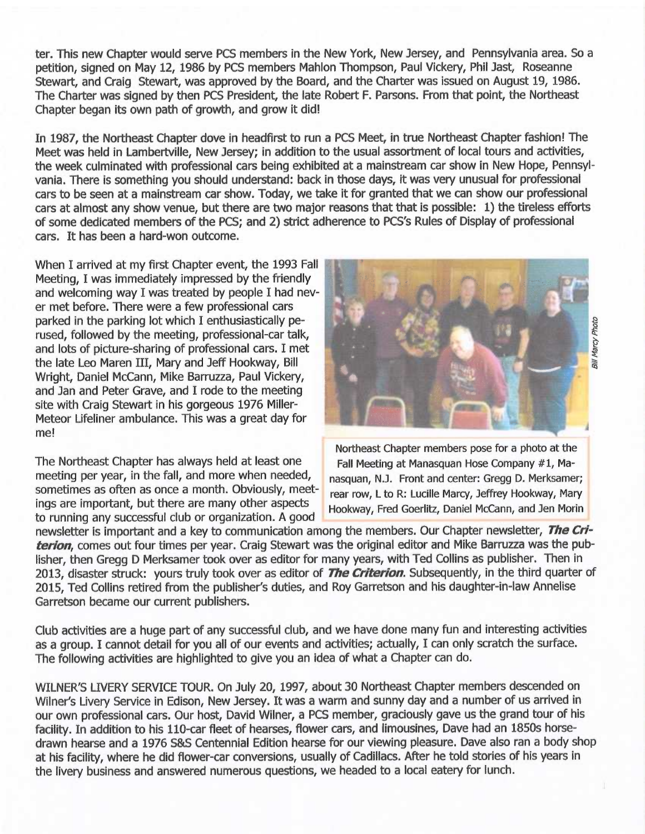ter. This new Chapter would serve PCS members in the New York, New Jersey, and Pennsylvania area. So a petition, signed on May 12, 1986 by PCS members Mahlon Thompson, Paul Vickery, Phil )ast, Roseanne Stewart, and Craig Stewart, was approved by the Board, and the Charter was issued on August 19, 1986. The Charter was signed by then PCS President, the fate Robert F. Parsons. From that point, the Northeast Chapter began its own path of growth, and grow it did!

In 1987, the Northeast Chapter dove in headfirst to run a PCS Meet, in true Northeast Chapter fashion! The Meet was held in Lambertville, New Jersey; in addition to the usual assortment of local tours and activities, the week culminated with professional cars being exhibited at a mainstream car show in New Hope, Pennsylvania. There is something you should understand: back in those days, it was very unusual for professional cars to be seen at a mainstream car show. Today, we take it for granted that we can show our professional cars at almost any show venue, but there are two major reasons that that is possible: 1) the tireless efforts of some dedicated members of the PCS; and 2) strict adherence to PCS's Rules of Display of professional cars. It has been a hard-won outcome.

When I arrived at my first Chapter event, the 1993 Fall Meeting, I was immediately impressed by the friendly and welcoming way I was treated by people I had never met before. There were a few professional cars parked in the parking lot which I enthusiastically perused, followed by the meeting, professional-car talk, and lots of picture-sharing of professional cars. I met the late Leo Maren III, Mary and Jeff Hookway, Bill Wright, Daniel McCann, Mike Barruzza, Paul Vickery, and Jan and Peter Grave, and I rode to the meeting site with Craig Stewart in his gorgeous 1976 Miller-Meteor Lifeliner ambulance. This was a great day for me!

The Northeast Chapter has always held at least one Fall Meeting at Manasquan Hose Company #1, Ma-<br>meeting per year, in the fall, and more when needed,  $\frac{1}{2}$  pasquan, N 1. Front and center: Gregg D. Merksame meeting per year, in the fall, and more when needed, hasquan, N.J. Front and center: Gregg D. Merksamer;<br>sometimes as often as once a month. Obviously, meet-hear row I to B: Lucille Marcy, Jeffrey Hookway, Mary sometimes as often as once a month. Obviously, meet-<br>lings are important, but there are many other aspects to running any successful club or organization. A good



Northeast Chapter members pose for a photo at the Hookway, Fred Goerlitz, Daniel McCann, and Jen Morin

newsletter is important and a key to communication among the members. Our Chapter newsletter, The Criterion, comes out four times per year. Craig Stewart was the original editor and Mike Barruzza was the publisher, then Gregg D Merksamer took over as editor for many years, with Ted Collins as publisher. Then in 2013, disaster struck: yours truly took over as editor of The Criterion. Subsequently, in the third quarter of 2015, Ted Collins retired from the publisher's duties, and Roy Garretson and his daughter-in-law Annelise Garretson became our current publishers.

Club activities are a huge part of any successful club, and we have done many fun and interesting activities as a group. I cannot detail for you all of our events and activities; actually, I can only scratch the surface. The following activities are highlighted to give you an idea of what a Chapter can do.

WILNER'S LIVERY SERVICE TOUR. On July 20, 1997, about 30 Northeast Chapter members descended on Wilner's Livery Service in Edison, New Jersey. It was a warm and sunny day and a number of us arrived in our own professional cars. Our host, David Wilner, a PCS member, graciously gave us the grand tour of his facility. In addition to his 110-car fleet of hearses, flower cars, and limousines, Dave had an 1850s horsedrawn hearse and a 1976 S&S Centennial Edition hearse for our viewing pleasure. Dave also ran a body shop at his facility, where he did flower-car conversions, usually of Cadillacs. After he told stories of his years in the livery business and answered numerous questions, we headed to a local eatery for lunch.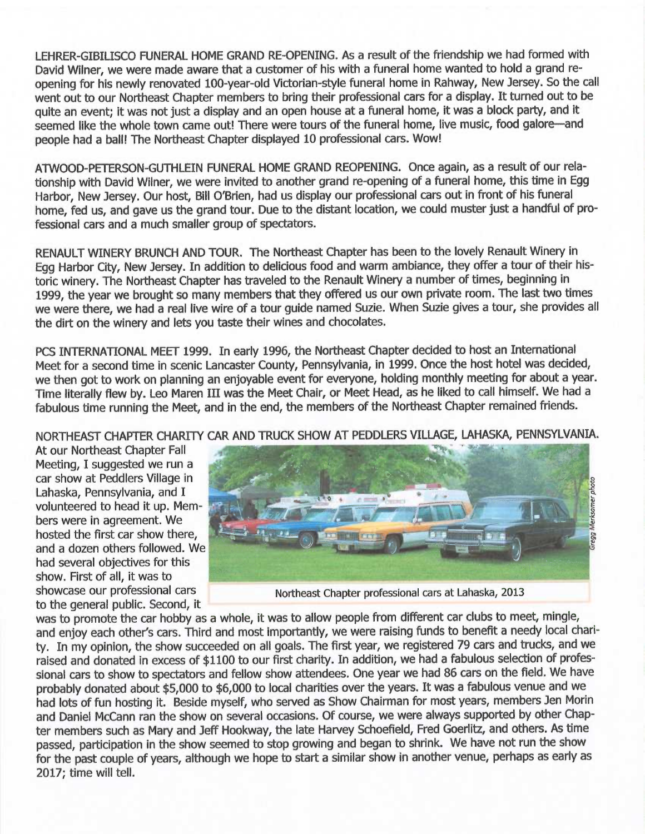LEHRER-GIBILISCO FUNERAL HOME GRAND RE-OPENING. As a result of the friendship we had formed with David Wilner, we were made aware that a customer of his with a funeral home wanted to hold a grand reopening for his newly renovated 100-year-old Victorian-style funeral home in Rahway, New Jersey. So the call went out to our Northeast Chapter members to bring their professional cars for a display. It fumed out to be quite an event; it was not just a display and an open house at a funeral home, it was a block party, and it seemed like the whole town came out! There were tours of the funeral home, live music, food galore-and people had a ball! The Northeast Chapter displayed 10 professional cars. Wow!

ATVUOOD-PETERSON-GUTHLEIN FUNERAL HOME GRAND REOPENING. Once again, as a result of our relationship with David Wilner, we were invited to another grand re-opening of a funeral home, this time in Egg Harbor, New Jersey. Our host, Bill O'Brien, had us display our professional cars out in front of his funeral home, fed us, and gave us the grand tour. Due to the distant location, we could muster just a handful of professional cars and a much smaller group of spectators.

RENAULT WINERY BRUNCH AND TOUR. The Northeast Chapter has been to the lovely Renault Winery in Egg Harbor City, New Jersey. In addition to delicious food and warm ambiance, they offer a tour of their historic winery. The Northeast Chapter has traveled to the Renault Winery a number of times, beginning in 1999, the year we brought so many members that they offered us our own private room. The last two times we were there, we had a real live wire of a tour guide named Suzie. When Suzie gives a tour, she provides all the dirt on the winery and lets you taste their wines and chocolates.

PCS INTERNATIONAL MEET 1999. In early 1996, the Northeast Chapter decided to host an International Meet for a second time in scenic Lancaster County, Pennsylvania, in 1999. Once the host hotel was decided, we then got to work on planning an enjoyable event for everyone, holding monthly meeting for about a year. Time literally flew by. Leo Maren III was the Meet Chair, or Meet Head, as he liked to call himself. We had <sup>a</sup> fabulous time running the Meet, and in the end, the members of the Northeast Chapter remained friends.

NORTHEAST CHAPTER CHARITY CAR AND TRUCK SHOW AT PEDDLERS VILLAGE, LAHASKA, PENNSYLVANIA.

At our Northeast Chapter Fall Meeting, I suggested we run a Lahaska, Pennsylvania, and I volunteered to head it up. Members were in agreement. We hosted the first car show there, and a dozen others followed. We had several objectives for this show. First of all, it was to to the general public. Second, it



showcase our professional cars Northeast Chapter professional cars at Lahaska, 2013

was to promote the car hobby as <sup>a</sup>whole, it was to allow people from different car clubs to meet, mingle, and enjoy each other's cars. Third and most importantly, we were raising funds to benefit a needy local charity. In my opinion, the show succeeded on all goals. The first year, we registered 79 cars and trucks, and we raised and donated in excess of \$1100 to our first charity. In addition, we had a fabulous selection of professional cars to show to spectators and fellow show attendees. One year we had 86 cars on the field. We have probably donated about \$5,000 to \$6,000 to local charities over the years. It was a fabulous venue and we had lots of fun hosting it. Beside myself, who served as Show Chairman for most years, members Jen Morin and Daniel McCann ran the show on several occasions. Of course, we were always supported by other Chapter members such as Mary and Jeff Hookway, the late Harvey Schoefield, Fred Goerlitz, and others. As time passed, participation in the show seemed to stop growing and began to shrink. We have not run the show for the past couple of years, although we hope to start a similar show in another venue, perhaps as early as 2017; time will tell.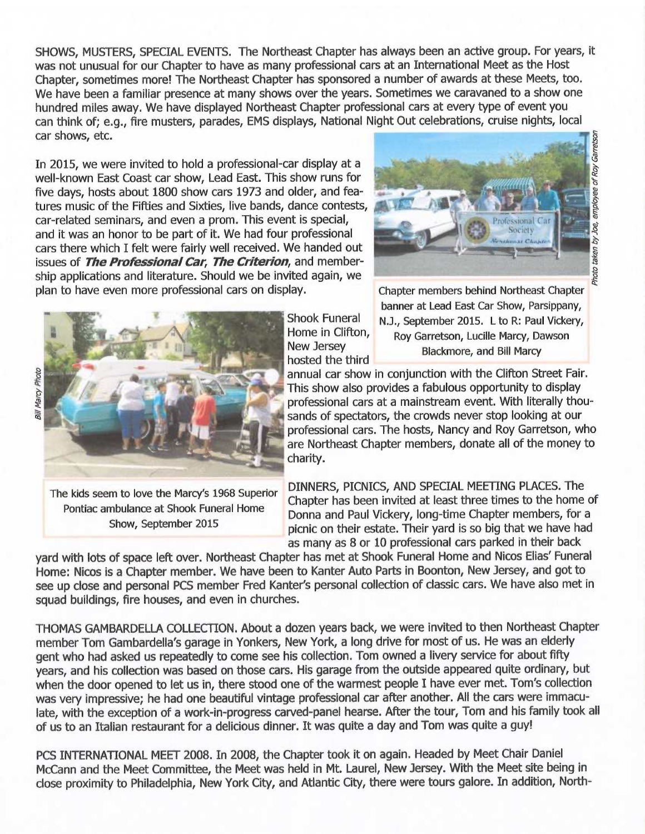SHOWS, MUSTERS, SPECIAL EVENTS. The Northeast Chapter has always been an active group. For years, it was not unusual for our Chapter to have as many professional cars at an International Meet as the Host Chapter, sometimes more! The Northeast Chapter has sponsored a number of awards at these Meets, too. We have been a familiar presence at many shows over the years. Sometimes we caravaned to a show one hundred miles away. We have displayed Northeast Chapter professional cars at every type of event you can think of; e.g., fire musters, parades, EMS displays, National Night Out celebrations, cruise nights, local car shows, etc.

In 2015, we were invited to hold a professional-car display at a well-known East Coast car show, Lead East. This show runs for five days, hosts about 1800 show cars 1973 and older, and features music of the Fifties and Sixties, live bands, dance contests, car-related seminars, and even a prom. This event is special, and it was an honor to be part of it. We had four professional cars there which I felt were fairly well received. We handed out issues of The Professional Car, The Criterion, and membership applications and literature. Should we be invited again, we plan to have even more professional cars on display.





Show, September 2015

hosted the third

Chapter members behind Northeast Chapter banner at Lead East Car Show, Parsippany, Shook Funeral N.J., September 2015. L to R: Paul Vickery,<br>Home in Clifton, Boy Garretson, Lucille Marcy, Dawson Home in Clifton, Roy Garretson, Lucille Marcy, Dawson<br>New Jersey Research Blackmore, and Bill Marcy Blackmore, and Bill Marcy

annual car show in conjunction with the Clifton Street Fair. This show also provides a fabulous opportunity to display professional cars at a mainstream event. With literally thousands of spectators, the crowds never stop looking at our professional cars. The hosts, Nancy and Roy Garretson, who are Northeast Chapter members, donate all of the money to charity.

The kids seem to love the Marcy's 1968 Superior DINNERS, PICNICS, AND SPECIAL MEETING PLACES. The Pontiac ambulance at Shook Funeral Home Chapter has been invited at least three times to the home of Donna and Paul Vickery, long-time Chapter members, for <sup>a</sup> picnic on their estate. Their yard is so big that we have had as many as 8 or 10 professional cars parked in their back

yard with lots of space left over. Northeast Chapter has met at Shook Funeral Home and Nicos Elias' Funeral Home: Nicos is a Chapter member. We have been to Kanter Auto Parts in Boonton, New Jersey, and got to see up close and personal PCS member Fred Kanter's personal collection of classic cars. We have also met in squad buildings, fire houses, and even in churches.

THOMAS GAMBARDELLA COLLECTION. About a dozen years back, we were invited to then Northeast Chapter member Tom Gambardella's garage in Yonkers, New York, a long drive for most of us. He was an elderly gent who had asked us repeatedly to come see his collection. Tom owned a livery service for about fifty years, and his collection was based on those cars. His garage from the outside appeared quite ordinary, but when the door opened to let us in, there stood one of the warmest people I have ever met. Tom's collection was very impressive; he had one beautiful vintage professional car after another. All the cars were immaculate, with the exception of a work-in-progress carved-panel hearse. After the tour, Tom and his family took all of us to an Italian restaurant for a delicious dinner. It was quite a day and Tom was quite a guy!

PCS INTERNATIONAL MEET 2008. In 2008, the Chapter took it on again. Headed by Meet Chair Daniel McCann and the Meet Committee, the Meet was held in Mt. Laurel, New Jersey. With the Meet site being in close proximity to Philadelphia, New York City, and Atlantic City, there were tours galore. In addition, North-